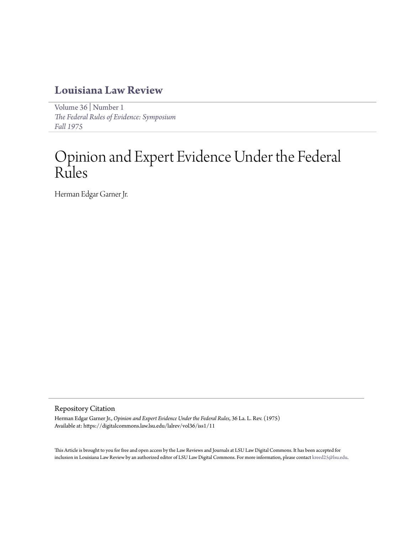# **[Louisiana Law Review](https://digitalcommons.law.lsu.edu/lalrev)**

[Volume 36](https://digitalcommons.law.lsu.edu/lalrev/vol36) | [Number 1](https://digitalcommons.law.lsu.edu/lalrev/vol36/iss1) *[The Federal Rules of Evidence: Symposium](https://digitalcommons.law.lsu.edu/lalrev/vol36/iss1) [Fall 1975](https://digitalcommons.law.lsu.edu/lalrev/vol36/iss1)*

# Opinion and Expert Evidence Under the Federal Rules

Herman Edgar Garner Jr.

## Repository Citation

Herman Edgar Garner Jr., *Opinion and Expert Evidence Under the Federal Rules*, 36 La. L. Rev. (1975) Available at: https://digitalcommons.law.lsu.edu/lalrev/vol36/iss1/11

This Article is brought to you for free and open access by the Law Reviews and Journals at LSU Law Digital Commons. It has been accepted for inclusion in Louisiana Law Review by an authorized editor of LSU Law Digital Commons. For more information, please contact [kreed25@lsu.edu](mailto:kreed25@lsu.edu).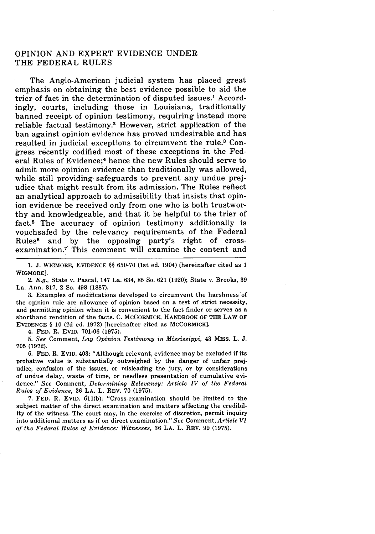### OPINION **AND** EXPERT EVIDENCE **UNDER** THE FEDERAL **RULES**

The Anglo-American judicial system has placed great emphasis on obtaining the best evidence possible to aid the trier of fact in the determination of disputed issues.1 Accordingly, courts, including those in Louisiana, traditionally banned receipt of opinion testimony, requiring instead more reliable factual testimony.2 However, strict application of the ban against opinion evidence has proved undesirable and has resulted in judicial exceptions to circumvent the rule.<sup>3</sup> Congress recently codified most of these exceptions in the Federal Rules of Evidence;4 hence the new Rules should serve to admit more opinion evidence than traditionally was allowed, while still providing safeguards to prevent any undue prejudice that might result from its admission. The Rules reflect an analytical approach to admissibility that insists that opinion evidence be received only from one who is both trustworthy and knowledgeable, and that it be helpful to the trier of fact.5 The accuracy of opinion testimony additionally is vouchsafed by the relevancy requirements of the Federal Rules6 and by the opposing party's right of crossexamination. $<sup>7</sup>$  This comment will examine the content and</sup>

**1. J.** WIGMORE, EVIDENCE §§ 650-70 (1st ed. 1904) [hereinafter cited as 1 WIGMORE].

*2. E.g.,* State v. Pascal, 147 La. 634, 85 So. 621 (1920); State v. Brooks, 39 La. Ann. 817, 2 So. 498 **(1887).**

3. Examples of modifications developed to circumvent the harshness of the opinion rule are allowance of opinion based on a test of strict necessity, and permitting opinion when it is convenient to the fact finder or serves as a shorthand rendition of the facts. C. MCCORMICK, HANDBOOK OF THE LAW OF EVIDENCE § 10 (2d ed. 1972) [hereinafter cited as MCCORMICK].

4. FED. R. EVID. 701-06 (1975).

*5. See* Comment, *Lay Opinion Testimony in Mississippi,* 43 MISS. L. J. **705 (1972).**

6. FED. R. EVID. 403: "Although relevant, evidence may be excluded if its probative value is substantially outweighed by the danger of unfair prejudice, confusion of the issues, or misleading the jury, or by considerations of undue delay, waste of time, or needless presentation of cumulative evidence." *See* Comment, *Determining Relevancy: Article IV of the Federal Rules of Evidence,* 36 **LA.** L. REV. **70** (1975).

**7.** FED. R. **EVID.** 611(b): "Cross-examination should be limited to the subject matter of the direct examination and matters affecting the credibility of the witness. The court may, in the exercise of discretion, permit inquiry into additional matters as if on direct examination." *See* Comment, *Article VI of the Federal Rules of Evidence: Witnesses,* 36 **LA.** L. REV. 99 (1975).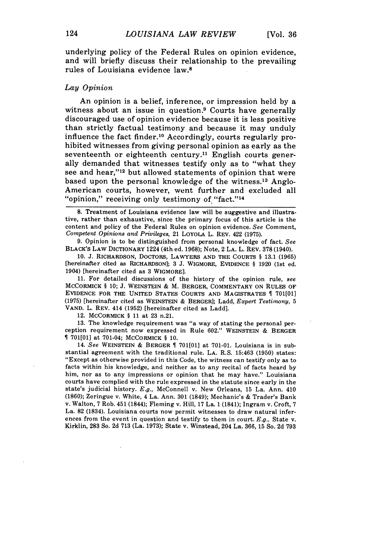underlying policy of the Federal Rules on opinion evidence, and will briefly discuss their relationship to the prevailing rules of Louisiana evidence law.8

#### *Lay Opinion*

An opinion is a belief, inference, or impression held by a witness about an issue in question.9 Courts have generally discouraged use of opinion evidence because it is less positive than strictly factual testimony and because it may unduly influence the fact finder. 10 Accordingly, courts regularly prohibited witnesses from giving personal opinion as early as the seventeenth or eighteenth century.<sup>11</sup> English courts generally demanded that witnesses testify only as to "what they see and hear,"'12 but allowed statements of opinion that were based upon the personal knowledge of the witness.<sup>13</sup> Anglo-American courts, however, went further and excluded all "opinion," receiving only testimony of "fact."<sup>14</sup>

8. Treatment of Louisiana evidence law will be suggestive and illustrative, rather than exhaustive, since the primary focus of this article is the content and policy of the Federal Rules on opinion evidence. *See* Comment, *Competent Opinions and Privileges,* 21 LOYOLA L. REV. 422 (1975).

9. Opinion is to be distinguished from personal knowledge of fact. *See* BLACK'S LAW DICTIONARY 1224 (4th ed. 1968); Note, 2 **LA.** L. REV. 378 (1940).

10. J. RICHARDSON, DOCTORS, LAWYERS AND THE COURTS § 13.1 (1965) [hereinafter cited as RICHARDSON]; 3 J. WIGMORE, EVIDENCE § 1920 (1st ed. 1904) [hereinafter cited as 3 WIGMORE].

11. For detailed discussions of the history of the opinion rule, *see* MCCORMICK § 10; J. WEINSTEIN & M. BERGER, COMMENTARY ON RULES OF EVIDENCE FOR THE UNITED STATES COURTS **AND** MAGISTRATES 701[01] (1975) [hereinafter cited as WEINSTEIN & BERGER]; Ladd, *Expert Testimony, 5* VAND. L. REV. 414 (1952) [hereinafter cited as Ladd].

12. MCCORMICK § 11 at 23 n.21.

13. The knowledge requirement was "a way of stating the personal perception requirement now expressed in Rule 602." WEINSTEIN & BERGER 701[01] at 701-04; MCCORMICK § 10.

14. *See* WEINSTEIN & BERGER 701[01] at 701-01. Louisiana is in substantial agreement with the traditional rule. LA. R.S. 15:463 (1950) states: "Except as otherwise provided in this Code, the witness can testify only as to facts within his knowledge, and neither as to any recital of facts heard by him, nor as to any impressions or opinion that he may have." Louisiana courts have complied with the rule expressed in the statute since early in the state's judicial history. *E.g.,* McConnell v. New Orleans, 15 La. Ann. 410 (1860); Zeringue v. White, 4 La. Ann. 301 (1849); Mechanic's & Trader's Bank v. Walton, 7 Rob. 451 (1844); Fleming v. Hill, 17 La. 1 (1841); Ingram v. Croft, 7 La. 82 (1834). Louisiana courts now permit witnesses to draw natural inferences from the event in question and testify to them in court. *E.g.,* State v. Kirklin, 283 So. 2d 713 (La. 1973); State v. Winstead, 204 La. 366, 15 So. 2d **793**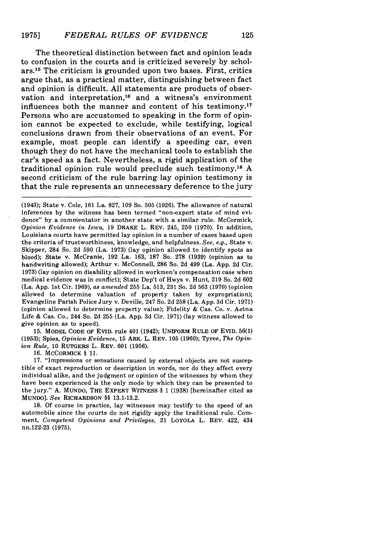The theoretical distinction between fact and opinion leads to confusion in the courts and is criticized severely by scholars.15 The criticism is grounded upon two bases. First, critics argue that, as a practical matter, distinguishing between fact and opinion is difficult. All statements are products of observation and interpretation,<sup>16</sup> and a witness's environment influences both the manner and content of his testimony.<sup>17</sup> Persons who are accustomed to speaking in the form of opinion cannot be expected to exclude, while testifying, logical conclusions drawn from their observations of an event. For example, most people can identify a speeding car, even though they do not have the mechanical tools to establish the car's speed as a fact. Nevertheless, a rigid application of the traditional opinion rule would preclude such testimony.<sup>18</sup> A second criticism of the rule barring lay opinion testimony is that the rule represents an unnecessary deference to the jury

(1943); State v. Cole, 161 La. 827, 109 So. 505 (1926). The allowance of natural inferences by the witness has been termed "non-expert state of mind evidence" by a commentator in another state with a similar rule. McCormick, *Opinion Evidence in Iowa,* 19 DRAKE L. REV. 245, 250 (1970). In addition, Louisiana courts have permitted lay opinion in a number of cases based upon the criteria of trustworthiness, knowledge, and helpfulness. *See, e.g.,* State v. Skipper, 284 So. 2d 590 (La. 1973) (lay opinion allowed to identify spots as blood); State v. McCranie, **192** La. **163, 187** So. **278 (1939)** (opinion as to handwriting allowed); Arthur v. McConnell, **286** So. **2d** 499 (La. **App. 2d** Cir. **1973)** (lay opinion on disability allowed in workmen's compensation case when medical evidence was in conflict); State Dep't of Hwys v. Hunt, **219** So. **2d 602** (La. **App.** 1st Cir. **1969),** *as amended* **255** La. **513, 231** So. **2d 563 (1970)** (opinion allowed to determine valuation of property taken **by** expropriation); Evangeline Parish Police Jury v. Deville, 247 So. **2d 258** (La. **App. 3d** Cir. **1971)** (opinion allowed to determine property value); Fidelity **&** Cas. Co. v. Aetna Life **&** Cas. Co., 244 So. **2d 255** (La. **App. 3d** Cir. **1971)** (lay witness allowed to give opinion as to speed).

**15.** MODEL CODE OF EVID. rule 401 (1942); UNIFORM RULE OF EVID. **56(1)** (1953); Spies, *Opinion Evidence,* 15 ARK. L. REV. 105 (1960); Tyree, *The Opinion Rule,* 10 RUTGERS L. REV. 601 (1956).

16. MCCORMICK § 11.

17. "Impressions or sensations caused by external objects are not susceptible of exact reproduction or description in words, nor do they affect every individual alike, and the judgment or opinion of the witnesses by whom they have been experienced is the only mode by which they can be presented to the jury." **A.** MUNDO, THE EXPERT **WITNESS** § 1 **(1938)** [hereinafter cited as **MUNDO].** *See* RICHARDSON §§ **13.1-13.2.**

18. Of course in practice, lay witnesses may testify to the speed of an automobile since the courts do not rigidly apply the traditional rule. Comment, *Competent Opinions and Privileges,* 21 LOYOLA L. REV. 422, 434 nn.122-23 (1975).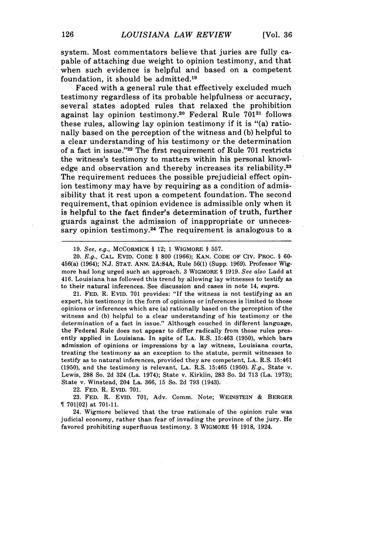system. Most commentators believe that juries are fully capable of attaching due weight to opinion testimony, and that when such evidence is helpful and based on a competent foundation, it should be admitted.<sup>19</sup>

Faced with a general rule that effectively excluded much testimony regardless of its probable helpfulness or accuracy, several states adopted rules that relaxed the prohibition against lay opinion testimony.20 Federal Rule **70121** follows these rules, allowing lay opinion testimony if it is "(a) rationally based on the perception of the witness and (b) helpful to a clear understanding of his testimony or the determination of a fact in issue."<sup>22</sup> The first requirement of Rule 701 restricts the witness's testimony to matters within his personal knowledge and observation and thereby increases its reliability.<sup>23</sup> The requirement reduces the possible prejudicial effect opinion testimony may have by requiring as a condition of admissibility that it rest upon a competent foundation. The second requirement, that opinion evidence is admissible only when it is helpful to the fact finder's determination of truth, further guards against the admission of inappropriate or unnecessary opinion testimony.<sup>24</sup> The requirement is analogous to a

20. E.g., **CAL.** EVID. CODE § 800 (1966); KAN. CODE OF CIV. PROC. § 60- 456(a) (1964); N.J. **STAT.** ANN. 2A:84A, Rule 56(1) (Supp. 1969). Professor Wigmore had long urged such an approach. 3 WIGMORE § 1919. See *also* Ladd at 416. Louisiana has followed this trend by allowing lay witnesses to testify as to their natural inferences. See discussion and cases in note 14, supra.

21. FED. R. EVID. 701 provides: "If the witness is not testifying as an expert, his testimony in the form of opinions or inferences is limited to those opinions or inferences which are (a) rationally based on the perception of the witness and (b) helpful to a clear understanding of his testimony or the determination of a fact in issue." Although couched in different language, the Federal Rule does not appear to differ radically from those rules presently applied in Louisiana. In spite of LA. R.S. 15:463 (1950), which bars admission of opinions or impressions by a lay witness, Louisiana courts, treating the testimony as an exception to the statute, permit witnesses to testify as to natural inferences, provided they are competent, **LA.** R.S. 15:461 (1950), and the testimony is relevant, LA. R.S. 15:465 (1950). E.g., State v. Lewis, 288 So. 2d 324 (La. 1974); State v. Kirklin, 283 So. 2d 713 (La. 1973); State v. Winstead, 204 La. 366, 15 So. 2d 793 (1943).

22. FED. R. EVID. 701.

23. FED. R. EVID. 701, Adv. Comm. Note; WEINSTEIN & BERGER 701[02] at 701-11.

24. Wigmore believed that the true rationale of the opinion rule was judicial economy, rather than fear of invading the province of the jury. He favored prohibiting superfluous testimony. 3 WIGMORE §§ 1918, 1924.

<sup>19.</sup> See, *e.g.,* MCCORMICK § 12; 1 WIGMORE § 557.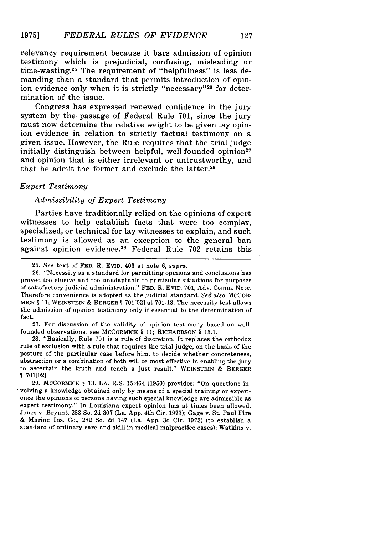127

relevancy requirement because it bars admission of opinion testimony which is prejudicial, confusing, misleading or time-wasting.25 The requirement of "helpfulness" is less demanding than a standard that permits introduction of opinion evidence only when it is strictly "necessary"<sup>26</sup> for determination of the issue.

Congress has expressed renewed confidence in the jury system by the passage of Federal Rule 701, since the jury must now determine the relative weight to be given lay opinion evidence in relation to strictly factual testimony on a given issue. However, the Rule requires that the trial judge initially distinguish between helpful, well-founded opinion<sup>27</sup> and opinion that is either irrelevant or untrustworthy, and that he admit the former and exclude the latter.<sup>28</sup>

### *Expert Testimony*

#### *Admissibility of Expert Testimony*

Parties have traditionally relied on the opinions of expert witnesses to help establish facts that were too complex, specialized, or technical for lay witnesses to explain, and such testimony is allowed as an exception to the general ban against opinion evidence.<sup>29</sup> Federal Rule 702 retains this

27. For discussion of the validity of opinion testimony based on wellfounded observations, see MCCORMICK § 11; RICHARDSON § 13.1.

28. "Basically, Rule 701 is a rule of discretion. It replaces the orthodox rule of exclusion with a rule that requires the trial judge, on the basis of the posture of the particular case before him, to decide whether concreteness, abstraction or a combination of both will be most effective in enabling the jury to ascertain the truth and reach a just result." WEINSTEIN & BERGER  $\P$  701 $[02]$ .

29. MCCoRMICK § 13. LA. R.S. 15:464 (1950) provides: "On questions involving a knowledge obtained only by means of a special training or experience the opinions of persons having such special knowledge are admissible as expert testimony." In Louisiana expert opinion has at times been allowed. Jones v. Bryant, 283 So. 2d 307 (La. App. 4th Cir. 1973); Gage v. St. Paul Fire & Marine Ins. Co., 282 So. 2d 147 (La. App. 3d Cir. 1973) (to establish a standard of ordinary care and skill in medical malpractice cases); Watkins v.

<sup>25.</sup> *See* text of **FED.** R. EVID. 403 at note 6, *supra.*

<sup>26. &</sup>quot;Necessity as a standard for permitting opinions and conclusions has proved too elusive and too unadaptable to particular situations for purposes of satisfactory judicial administration." FED. R. EVID. 701, Adv. Comm. Note. Therefore convenience is adopted as the judicial standard. See also MCCOR-MICK § 11; **WEINSTEIN** & BERGER 701[02] at 701-13. The necessity test allows the admission of opinion testimony only if essential to the determination of fact.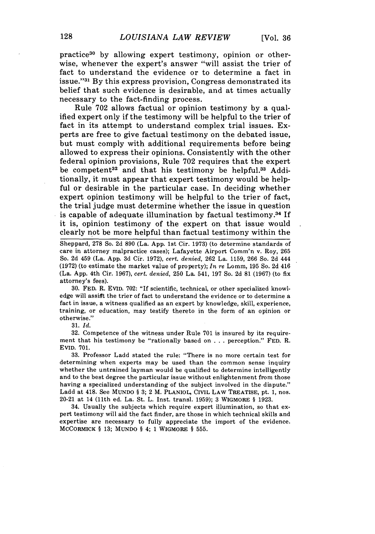practice<sup>30</sup> by allowing expert testimony, opinion or otherwise, whenever the expert's answer "will assist the trier of fact to understand the evidence or to determine a fact in issue."<sup>31</sup> By this express provision, Congress demonstrated its belief that such evidence is desirable, and at times actually necessary to the fact-finding process.

Rule **702** allows factual or opinion testimony by a qualified expert only if the testimony will be helpful to the trier of fact in its attempt to understand complex trial issues. Experts are free to give factual testimony on the debated issue, but must comply with additional requirements before being allowed to express their opinions. Consistently with the other federal opinion provisions, Rule **702** requires that the expert be competent<sup>32</sup> and that his testimony be helpful.<sup>33</sup> Additionally, it must appear that expert testimony would be helpful or desirable in the particular case. In deciding whether expert opinion testimony will be helpful to the trier of fact, the trial judge must determine 'Whether the issue in question is capable of adequate illumination by factual testimony.34 If it is, opinion testimony of the expert on that issue would clearly not be more helpful than factual testimony within the

Sheppard, 278 So. 2d 890 (La. App. 1st Cir. 1973) (to determine standards of care in attorney malpractice cases); Lafayette Airport Comm'n v. Roy, 265 So. 2d 459 (La. App. 3d Cir. 1972), *cert. denied,* 262 La. 1159, 266 So. 2d 444 (1972) (to estimate the market value of property); *In re* Lomm, 195 So. 2d 416 (La. App. 4th Cir. 1967), *cert. denied,* 250 La. 541, **197** So. 2d 81 (1967) (to fix attorney's fees).

30. FED. R. EVID. 702: "If scientific, technical, or other specialized knowledge will assigt the trier of fact to understand the evidence or to determine a fact in issue, a witness qualified as an expert by knowledge, skill, experience, training, or education, may testify thereto in the form of an opinion or otherwise."

31. *Id.*

32. Competence of the witness under Rule 701 is insured by its requirement that his testimony be "rationally based on . . . perception." FED. R. EVID. 701.

33. Professor Ladd stated the rule: "There is no more certain test for determining when experts may be used than the common sense inquiry whether the untrained layman would be qualified to determine intelligently and to the best degree the particular issue without enlightenment from those having a specialized understanding of the subject involved in the dispute." Ladd at 418. See MUNDO § 3; 2 M. PLANIOL, CIVIL LAW TREATISE, pt. 1, nos. 20-21 at 14 (11th ed. La. St. L. Inst. transl. 1959); 3 WIGMORE § 1923.

34. Usually the subjects which require expert illumination, so that expert testimony will aid the fact finder, are those in which technical skills and expertise are necessary to fully appreciate the import of the evidence. MCCORMICK § 13; MuNDO § 4; 1 WIGMORE § 555.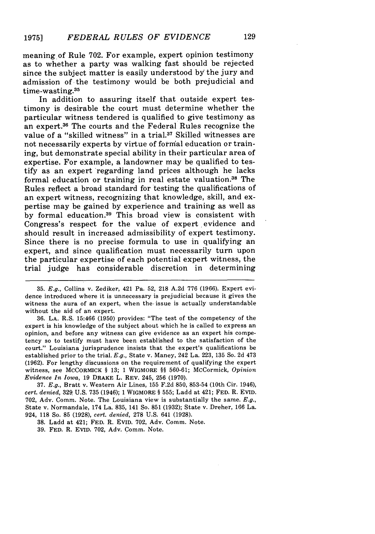meaning of Rule **702.** For example, expert opinion testimony as to whether a party was walking fast should be rejected since the subject matter is easily understood **by'** the jury and admission of the testimony would be both prejudicial and time-wasting.<sup>35</sup>

In addition to assuring itself that outside expert testimony is desirable the court must determine whether the particular witness tendered is qualified to give testimony as an expert.36 The courts and the Federal Rules recognize the value of a "skilled witness" in a trial.<sup>37</sup> Skilled witnesses are not necessarily experts by virtue of formal education or training, but demonstrate special ability in their particular area of expertise. For example, a landowner may be qualified to testify as an expert regarding land prices although he lacks formal education or training in real estate valuation.38 The Rules reflect a broad standard for testing the qualifications of an expert witness, recognizing that knowledge, skill, and expertise may be gained **by** experience and training as well as **by** formal education. 39 This broad view is consistent with Congress's respect for the value of expert evidence and should result in increased admissibility of expert testimony. Since there is no precise formula to use in qualifying an expert, and since qualification must necessarily turn upon the particular expertise of each potential expert witness, the trial judge has considerable discretion in determining

**35.** *E.g.,* Collins v. Zediker, 421 Pa. **52, 218 A.2d 776 (1966).** Expert evidence introduced where it is unnecessary is prejudicial because it gives the witness the aura of an expert, when the issue is actually understandable without the aid of an expert.

**36. LA.** R.S. **15:466 (1950)** provides: "The test of the competency of the expert is his knowledge of the subject about which he is called to express an opinion, and before any witness can give evidence as an expert his competency so to testify must have been established to the satisfaction of the court." Louisiana jurisprudence insists that the expert's qualifications be established prior to the trial. *E.g.,* State v. Maney, 242 La. **223, 135** So. **2d** 473 **(1962).** For lengthy discussions on the requirement of qualifying the expert witness, see MCCORMICK **§ 13; 1** WIGMORE **§§ 560-61;** McCormick, *Opinion Evidence In Iowa,* **19** DRAKE L. REV. 245, **256 (1970).**

**37.** *E.g.,* Bratt v. Western Air Lines, **155 F.2d 850, 853-54** (10th Cir. 1946), *cert. denied,* **329. U.S. 735** (1946); **1** WIGMORE **§ 555;** Ladd at 421; **FED.** R. **EVID. 702,** Adv. Comm. Note. The Louisiana view is substantially the same. *E.g.,* State v. Normandale, 174 La. **835,** 141 So. **851 (1932);** State v. Dreher, **166** La. 924, **118** So. **85 (1928),** *cert. denied,* **278 U.S.** 641 **(1928).**

**38.** Ladd at 421; **FED.** R. EVID. **702,** Adv. Comm. Note.

**39. FED.** R. **EVID. 702,** Adv. Comm. Note.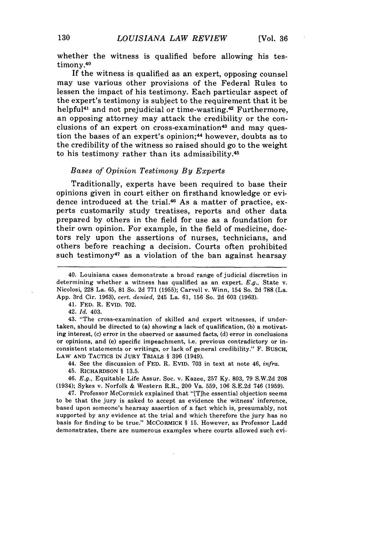whether the witness is qualified before allowing his testimony.<sup>40</sup>

If the witness is qualified as an expert, opposing counsel may use various other provisions of the Federal Rules to lessen the impact of his testimony. Each particular aspect of the expert's testimony is subject to the requirement that it be helpful $41$  and not prejudicial or time-wasting. $42$  Furthermore, an opposing attorney may attack the credibility or the conclusions of an expert on cross-examination<sup>43</sup> and may question the bases of an expert's opinion; 44 however, doubts as to the credibility of the witness so raised should go to the weight to his testimony rather than its admissibility. <sup>45</sup>

#### *Bases of Opinion Testimony By Experts*

Traditionally, experts have been required to base their opinions given in court either on firsthand knowledge or evidence introduced at the trial.46 As a matter of practice, experts customarily study treatises, reports and other data prepared by others in the field for use as a foundation for their own opinion. For example, in the field of medicine, doctors rely upon the assertions of nurses, technicians, and others before reaching a decision. Courts often prohibited such testimony<sup>47</sup> as a violation of the ban against hearsay

42. *Id.* 403.

43. "The cross-examination of skilled and expert witnesses, if undertaken, should be directed to (a) showing a lack of qualification, (b) a motivating interest, (c) error in the observed or assumed facts, (d) error in conclusions or opinions, and (e) specific impeachment, i.e. previous contradictory or inconsistent statements or writings, or lack of general credibility." F. BUSCH, LAW AND TACTICS IN JURY TRIALS § 396 (1949).

44. See the discussion of FED. R. EVID. 703 in text at note 46, *infra.*

46. *E.g.,* Equitable Life Assur. Soc. v. Kazee, 257 Ky. 803, 79 S.W.2d 208 (1934); Sykes v. Norfolk & Western R.R., 200 Va. 559, 106 S.E.2d 746 (1959).

47. Professor McCormick explained that "[T]he essential objection seems to be that the jury is asked to accept as evidence the witness' inference, based upon someone's hearsay assertion of a fact which is, presumably, not supported by any evidence at the trial and which therefore the jury has no basis for finding to be true." MCCoRMICK § 15. However, as Professor Ladd demonstrates, there are numerous examples where courts allowed such evi-

<sup>40.</sup> Louisiana cases demonstrate a broad range of judicial discretion in determining whether a witness has qualified as an expert. E.g., State v. Nicolosi, 228 La. 65, 81 So. 2d 771 (1955); Carvell v. Winn, 154 So. 2d **788** (La. App. 3rd Cir. 1963), *cert. denied,* 245 La. 61, **156** So. 2d 603 (1963).

<sup>41.</sup> FED. R. EVID. 702.

<sup>45.</sup> RICHARDSON § 13.5.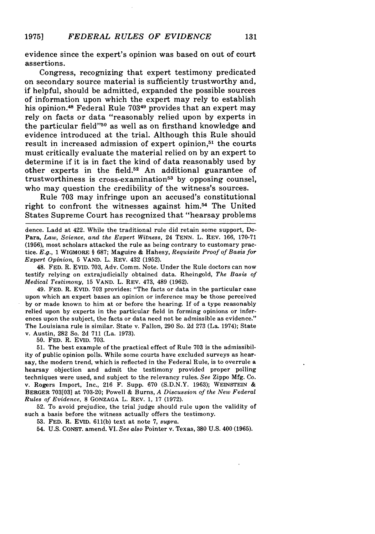evidence since the expert's opinion was based on out of court assertions.

Congress, recognizing that expert testimony predicated on secondary source material is sufficiently trustworthy and, if helpful, should be admitted, expanded the possible sources of information upon which the expert may rely to establish his opinion.48 Federal Rule **70349** provides that an expert may rely on facts or data "reasonably relied upon by experts in the particular field" $50$  as well as on firsthand knowledge and evidence introduced at the trial. Although this Rule should result in increased admission of expert opinion,<sup>51</sup> the courts must critically evaluate the material relied on by an expert to determine if it is in fact the kind of data reasonably used by other experts in the field.<sup>52</sup> An additional guarantee of  $trustworthiness is cross-examination<sup>53</sup> by opposing course,$ who may question the credibility of the witness's sources.

Rule 703 may infringe upon an accused's constitutional right to confront the witnesses against him.<sup>54</sup> The United States Supreme Court has recognized that "hearsay problems

dence. Ladd at 422. While the traditional rule did retain some support, De-Para, *Law, Science, and the Expert Witness,* 24 TENN. L. REV. 166, 170-71 (1956), most scholars attacked the rule as being contrary to customary practice. *E.g.,* 1 WIGMORE § 687; Maguire & Hahesy, *Requisite Proof of Basis for Expert Opinion,* 5 **VAND.** L. REV. 432 (1952).

48. FED. R. EVID. 703, Adv. Comm. Note. Under the Rule doctors can now testify relying on extrajudicially obtained data. Rheingold, *The Basis of Medical Testimony,* 15 **VAND.** L. REV. 473, 489 (1962).

49. FED. R. EVID. 703 provides: "The facts or data in the particular case upon which an expert bases an opinion or inference may be those perceived by or made known to him at or before the hearing. If of a type reasonably relied upon by experts in the particular field in forming opinions or inferences upon the subject, the facts or data need not be admissible as evidence." The Louisiana rule is similar. State v. Fallon, 290 So. 2d **273** (La. 1974); State v. Austin, 282 So. 2d 711 (La. 1973).

50. FED. R. EVID. 703.

51. The best example of the practical effect of Rule 703 is the admissibility of public opinion polls. While some courts have excluded surveys as hearsay, the modern trend, which is reflected in the Federal Rule, is to overrule a hearsay objection and admit the testimony provided proper polling techniques were used, and subject to the relevancy rules. *See* Zippo Mfg. Co. v. Rogers Import, Inc., 216 F. Supp. 670 (S.D.N.Y. 1963); WEINSTEIN & BERGER 703[03] at 703-20; Powell & Burns, *A Discussion of the New Federal Rules of Evidence,* 8 **GONZAGA** L. REV. **1, 17 (1972).**

52. To avoid prejudice, the trial judge should rule upon the validity of such a basis before the witness actually offers the testimony.

53. FED. R. EVID. 611(b) text at note 7, *supra.*

54. U.S. CONST. amend. VI. *See also* Pointer v. Texas, **380** U.S. 400 (1965).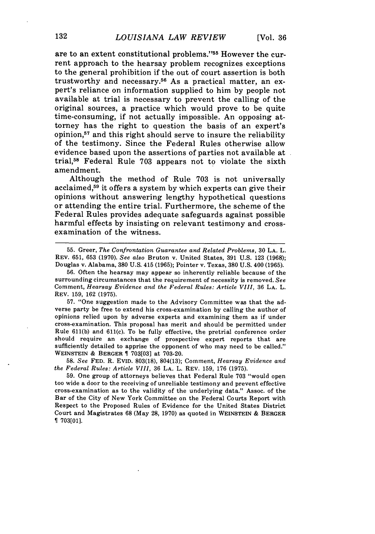are to an extent constitutional problems."<sup>55</sup> However the current approach to the hearsay problem recognizes exceptions to the general prohibition if the out of court assertion is both trustworthy and necessary.56 As a practical matter, an expert's reliance on information supplied to him by people not available at trial is necessary to prevent the calling of the original sources, a practice which would prove to be quite time-consuming, if not actually impossible. An opposing attorney has the right to question the basis of an expert's opinion,<sup>57</sup> and this right should serve to insure the reliability of the testimony. Since the Federal Rules otherwise allow evidence based upon the assertions of parties not available at trial,58 Federal Rule 703 appears not to violate the sixth amendment.

Although the method of Rule **703** is not universally acclaimed,<sup>59</sup> it offers a system by which experts can give their opinions without answering lengthy hypothetical questions or attending the entire trial. Furthermore, the scheme of the Federal Rules provides adequate safeguards against possible harmful effects by insisting on relevant testimony and crossexamination of the witness.

55. Greer, *The Confrontation Guarantee and Related Problems,* 30 **LA.** L. REV. 651, 653 (1970). *See also* Bruton v. United States, 391 U.S. 123 (1968); Douglas v. Alabama, 380 U.S. 415 (1965); Pointer v. Texas, 380 U.S. 400 (1965).

**56.** Often the hearsay may appear so inherently reliable because of the surrounding circumstances that the requirement of necessity is removed. *See* Comment, *Hearsay Evidence and the Federal Rules: Article VIII,* 36 **LA.** L. REV. 159, 162 (1975).

**57.** "One suggestion made to the Advisory Committee was that the adverse party be free to extend his cross-examination by calling the author of opinions relied upon by adverse experts and examining them as if under cross-examination. This proposal has merit and should be permitted under Rule 611(b) and 611(c). To be fully effective, the pretrial conference order should require an exchange of prospective expert reports that are sufficiently detailed to apprise the opponent of who may need to be called." WEINSTEIN **&** BERGER T 703[03] at 703-20.

58. *See* FED. R. EVID. 803(18), 804(13); Comment, *Hearsay Evidence and the Federal Rules: Article VIII,* 36 LA. L. REV. 159, 176 (1975).

59. One group of attorneys believes that Federal Rule 703 "would open too wide a door to the receiving of unreliable testimony and prevent effective cross-examination as to the validity of the underlying data." Assoc. of the Bar of the City of New York Committee on the Federal Courts Report with Respect to the Proposed Rules of Evidence for the United States District Court and Magistrates **68** (May **28,** 1970) as quoted in WEINSTEIN **&** BERGER 703[01].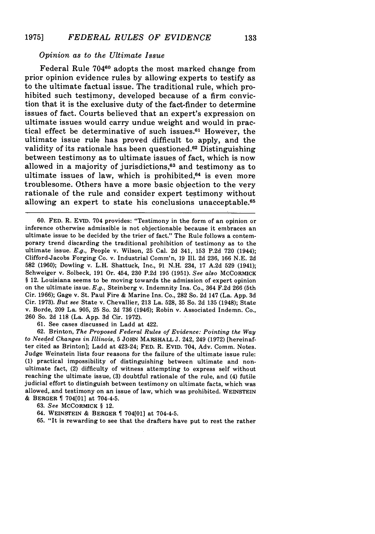#### *Opinion as to the Ultimate Issue*

Federal Rule **70460** adopts the most marked change from prior opinion evidence rules by allowing experts to testify as to the ultimate factual issue. The traditional rule, which prohibited such testimony, developed because of a firm conviction that it is the exclusive duty of the fact-finder to determine issues of fact. Courts believed that an expert's expression on ultimate issues would carry undue weight and would in practical effect be determinative of such issues.<sup>61</sup> However, the ultimate issue rule has proved difficult to apply, and the validity of its rationale has been questioned. $62$  Distinguishing between testimony as to ultimate issues of fact, which is now allowed in a majority of jurisdictions,<sup>63</sup> and testimony as to ultimate issues of law, which is prohibited, $64$  is even more troublesome. Others have a more basic objection to the very rationale of the rule and consider expert testimony without allowing an expert to state his conclusions unacceptable.<sup>65</sup>

61. See cases discussed in Ladd at 422.

62. Brinton, *The Proposed Federal Rules of Evidence: Pointing the Way to Needed Changes in Illinois,* 5 JoHN MARSHALL J. 242, 249 (1972) [hereinafter cited as Brinton]; Ladd at 423-24; FED. R. EVID. 704, Adv. Comm. Notes. Judge Weinstein lists four reasons for the failure of the ultimate issue rule: (1) practical impossibility of distinguishing between ultimate and nonultimate fact, (2) difficulty of witness attempting to express self without reaching the ultimate issue, (3) doubtful rationale of the rule, and (4) futile judicial effort to distinguish between testimony on ultimate facts, which was allowed,, and testimony on an issue of law, which was prohibited. **WEINSTEIN &** BERGER 704[01] at 704-4-5.

63. *See* MCCORMICK § 12.

64. WEINSTEIN **&** BERGER 704[01] at 704-4-5.

65. "It is rewarding to see that the drafters have put to rest the rather

<sup>60.</sup> FED. R. EVID. 704 provides: "Testimony in the form of an opinion or inference otherwise admissible is not objectionable because it embraces an ultimate issue to be decided by the trier of fact." The Rule follows a contemporary trend discarding the traditional prohibition of testimony as to the ultimate issue. *E.g.,* People v. Wilson, 25 Cal. 2d 341, 153 P.2d 720 (1944); Clifford-Jacobs Forging Co. v. Industrial Comm'n, 19 Ill. 2d 236, 166 N.E. 2d **582** (1960); Dowling v. L.H. Shattuck, Inc., 91 N.H. 234, 17 A.2d 529 (1941); Schweiger v. Solbeck, 191 Or. 454, 230 P.2d 195 (1951). *See also* MCCORMICK § 12. Louisiana seems to be moving towards the admission of expert opinion on the ultimate issue. *E.g.,* Steinberg v. Indemnity Ins. Co., 364 F.2d 266 (5th Cir. 1966); Gage v. St. Paul Fire & Marine Ins. Co., **282** So. 2d 147 (La. App. 3d Cir. 1973). *But see* State v. Chevallier, 213 La. 528, 35 So. 2d 135 (1948); State v. Borde, 209 La. 905, 25 So. 2d 736 (1946); Robin v. Associated Indemn. Co., 260 So. 2d **118** (La. App. 3d Cir. 1972).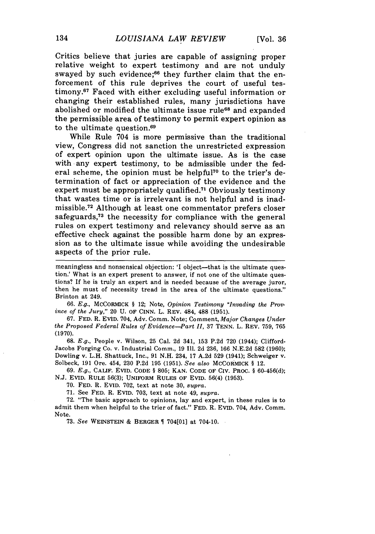Critics believe that juries are capable of assigning proper relative weight to expert testimony and are not unduly swayed by such evidence;<sup>66</sup> they further claim that the enforcement of this rule deprives the court of useful testimony.<sup>67</sup> Faced with either excluding useful information or changing their established rules, many jurisdictions have abolished or modified the ultimate issue rule<sup>68</sup> and expanded the permissible area of testimony to permit expert opinion as to the ultimate question.<sup>69</sup>

While Rule 704 is more permissive than the traditional view, Congress did not sanction the unrestricted expression of expert opinion upon the ultimate issue. As is the case with any expert testimony, to be admissible under the federal scheme, the opinion must be helpful<sup>70</sup> to the trier's determination of fact or appreciation of the evidence and the expert must be appropriately qualified.<sup> $71$ </sup> Obviously testimony that wastes time or is irrelevant is not helpful and is inadmissible. 72 Although at least one commentator prefers closer safeguards,<sup>73</sup> the necessity for compliance with the general rules on expert testimony and relevancy should serve as an effective check against the possible harm done **by** an expression as to the ultimate issue while avoiding the undesirable aspects of the prior rule.

meaningless and nonsensical objection: 'I object--that is the ultimate question.' What is an expert present to answer, if not one of the ultimate questions? If he is truly an expert and is needed because of the average juror, then he must of necessity tread in the area of the ultimate questions." Brinton at 249.

*66. E.g.,* McCORMICK **§** 12; Note, *Opinion Testimony "Invading the Province of the Jury,"* 20 **U.** OF CINN. L. REV. 484, **488 (1951).**

**67. FED.** R. EVID. 704, Adv. Comm. Note; Comment, *Major Changes Under the Proposed Federal Rules of Evidence-Part II,* **37 TENN.** L. REV. **759, 765 (1970).**

**68.** *E.g.,* People v. Wilson, **25** Cal. **2d** 341, **153 P.2d 720** (1944); Clifford-Jacobs Forging Co. v. Industrial Comm., **19 1I1. 2d 236, 166 N.E.2d 582 (1960);** Dowling v. L.H. Shattuck, Inc., **91 N.H.** 234, **17 A.2d 529** (1941); Schweiger v. Solbeck, **191** Ore. 454, **230 P.2d 195 (1951).** *See also* MCCORIMICK **§** 12.

**69.** *E.g.,* **CALIF.** EVID. **CODE § 805; KAN. CODE** OF **CIV.** PROC. **§ 60-456(d); N.J.** EVID. RULE **56(3);** UNIFORM **RULES** OF EvID. 56(4) **(1953).**

**70. FED.** R. EVID. **702,** text at note **30,** *supra.*

**71.** See **FED.** R. EVID. **703,** text at note 49, *supra.*

**72.** "The basic approach to opinions, lay and expert, in these rules is to admit them when helpful to the trier of fact." **FED.** R. Evin. 704, Adv. Comm. Note.

**73.** *See* WEINSTEIN **&** BERGER 704[01] at 704-10.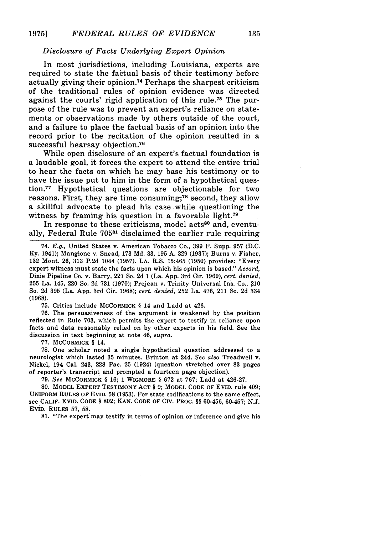#### *Disclosure of Facts Underlying Expert Opinion*

In most jurisdictions, including Louisiana, experts are required to state the factual basis of their testimony before actually giving their opinion.<sup>74</sup> Perhaps the sharpest criticism of the traditional rules of opinion evidence was directed against the courts' rigid application of this rule.<sup>75</sup> The purpose of the rule was to prevent an expert's reliance on statements or observations made by others outside of the court, and a failure to place the factual basis of an opinion into the record prior to the recitation of the opinion resulted in a successful hearsay objection.<sup>76</sup>

While open disclosure of an expert's factual foundation is a laudable goal, it forces the expert to attend the entire trial to hear the facts on which he may base his testimony or to have the issue put to him in the form of a hypothetical question. 77 Hypothetical questions are objectionable for two reasons. First, they are time consuming; $78$  second, they allow a skillful advocate to plead his case while questioning the witness by framing his question in a favorable light.<sup>79</sup>

In response to these criticisms, model acts<sup>80</sup> and, eventually, Federal Rule **70581** disclaimed the earlier rule requiring

74. E.g., United States v. American Tobacco Co., 399 F. Supp. 957 (D.C. Ky. 1941); Mangione v. Snead, 173 Md. 33, 195 A. 329 (1937); Burns v. Fisher, 132 Mont. 26, 313 P.2d 1044 (1957). LA. R.S. 15:465 (1950) provides: "Every expert witness must state the facts upon which his opinion is based." *Accord,* Dixie Pipeline Co. v. Barry, 227 So. 2d 1 (La. App. 3rd Cir. 1969), *cert. denied,* 255 La. 145, 220 So. 2d 731 (1970); Prejean v. Trinity Universal Ins. Co., 210 So. 2d 395 (La. App. 3rd Cir. 1968); *cert. denied,* 252 La. 476, 211 So. 2d 334 **(1968).**

**75.** Critics include McCORMICK § 14 and Ladd at 426.

**76.** The persuasiveness of the argument is weakened **by** the position reflected in Rule **703,** which permits the expert to testify in reliance upon facts and data reasonably relied on **by** other experts in his field. See the discussion in text beginning at note 46, *supra.*

77. MCCORMICK § 14.

78. One scholar noted a single hypothetical question addressed to a neurologist which lasted 35 minutes. Brinton at 244. *See also* Treadwell v. Nickel, 194 Cal. 243, 228 Pac. 25 (1924) (question stretched over 83 pages of reporter's transcript and prompted a fourteen page objection).

**79.** *See* McCORMICK § **16;** 1 WIGMORE § **672** at **767;** Ladd at 426-27.

80. MODEL EXPERT TESTIMONY ACT § 9; MODEL CODE OF EVID. rule 409; UNIFORM RULES OF EVID. 58 (1953). For state codifications to the same effect, see **CALIF. EVID.** CODE § **802; KAN.** CODE OF **CIV.** PROC. §§ **60-456, 60-457; N.J. EVID. RULES 57, 58.**

**81.** "The expert may testify in terms of opinion or inference and give his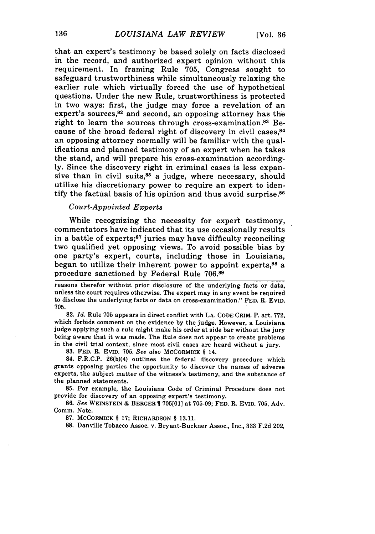that an expert's testimony be based solely on facts disclosed in the record, and authorized expert opinion without this requirement. In framing Rule 705, Congress sought to safeguard trustworthiness while simultaneously relaxing the earlier rule which virtually forced the use of hypothetical questions. Under the new Rule, trustworthiness is protected in two ways: first, the judge may force a revelation of an expert's sources, $82$  and second, an opposing attorney has the right to learn the sources through cross-examination.<sup>83</sup> Because of the broad federal right of discovery in civil cases.<sup>84</sup> an opposing attorney normally will be familiar with the qualifications and planned testimony of an expert when he takes the stand, and will prepare his cross-examination accordingly. Since the discovery right in criminal cases is less expansive than in civil suits, $85$  a judge, where necessary, should utilize his discretionary power to require an expert to identify the factual basis of his opinion and thus avoid surprise.<sup>86</sup>

#### *Court-Appointed Experts*

While recognizing the necessity for expert testimony, commentators have indicated that its use occasionally results in a battle of experts; $87$  juries may have difficulty reconciling two qualified yet opposing views. To avoid possible bias by one party's expert, courts, including those in Louisiana, began to utilize their inherent power to appoint experts, $88$  a procedure sanctioned by Federal Rule 706.89

reasons therefor without prior disclosure of the underlying facts or data, unless the court requires otherwise. The expert may in any event be required to disclose the underlying facts or data on cross-examination." FED. R. EVID. 705.

**82.** *Id.* Rule 705 appears in direct conflict with LA. CODE CRIM. P. art. 772, which forbids comment on the evidence by the judge. However, a Louisiana judge applying such a rule might make his order at side bar without the jury being aware that it was made. The Rule does not appear to create problems in the civil trial context, since most civil cases are heard without a jury.

**83.** FED. R. EVID. 705. *See also* MCCORMICK § 14.

84. F.R.C.P. 26(b)(4) outlines the federal discovery procedure which grants opposing parties the opportunity to discover the names of adverse experts, the subject matter of the witness's testimony, and the substance of the planned statements.

85. For example, the Louisiana Code of Criminal Procedure does not provide for discovery of an opposing expert's testimony.

86. *See* WEINSTEIN & BERGER 705[01] at 705-09; FED. R. EVID. 705, Adv. Comm. Note.

**87.** McCORMICK § **17;** RICHARDSON § 13.11.

**88.** Danville Tobacco Assoc. v. Bryant-Buckner Assoc., Inc., 333 F.2d 202,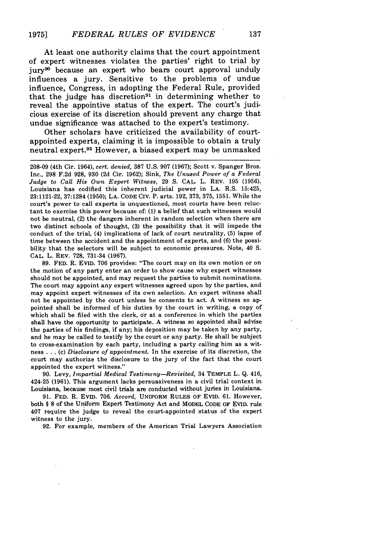At least one authority claims that the court appointment of expert witnesses violates the parties' right to trial by jury9° because an expert who bears court approval unduly influences a jury. Sensitive to the problems of undue influence, Congress, in adopting the Federal Rule, provided that the judge has discretion<sup>91</sup> in determining whether to reveal the appointive status of the expert. The court's judicious exercise of its discretion should prevent any charge that undue significance was attached to the expert's testimony.

Other scholars have criticized the availability of courtappointed experts, claiming it is impossible to obtain a truly neutral expert.<sup>92</sup> However, a biased expert may be unmasked

208-09 (4th Cir. 1964), *cert. denied,* 387 U.S. 907 (1967); Scott v. Spanger Bros. Inc., 298 F.2d 928, 930 (2d Cir. 1962); Sink, *The Unused Power of a Federal Judge to Call His Own Expert Witness,* 29 **S.** CAL. L. REV. 195 (1956). Louisiana has codified this inherent judicial power in **LA.** R.S. 15:425, 23:1121-22, 37:1284 (1950); LA. CODE CIV. P. arts. 192, 373, 375, 1551. While the court's power to call experts is unquestioned, most courts have been reluctant to exercise this power because of: (1) a belief that such witnesses would not be neutral, (2) the dangers inherent in random selection when there are two distinct schools of thought, (3) the possibility that it will impede the conduct of the trial, (4) implications of lack of court neutrality, (5) lapse of time between the accident and the appointment of experts, and (6) the possibility that the selectors will be subject to economic pressures. Note, 40 **S.** CAL. L. REV. 728, **731-34** (1967).

**89. FED.** R. **EVID. 706** provides: "The court may on its own motion or on the motion of any party enter an order to show cause why expert witnesses should not be appointed, and may request the parties to submit nominations. The court may appoint any expert witnesses agreed upon **by** the parties, and may appoint expert witnesses of its own selection. An expert witness shall not be appointed **by** the court unless he consents to act. **A** witness so appointed shall be informed of his duties **by** the court in writing, a copy of which shall be filed with the clerk, dr at a conference in which the parties shall have the opportunity to participate. **A** witness so appointed shall advise the parties of his findings, if any; his deposition may be taken **by** any party, and he may be called to testify **by** the court or any party. He shall be subject to cross-examination **by** each party, including a party calling him as a witness **. . .** (c) *Disclosure of appointment.* In the exercise of its discretion, the court may authorize the disclosure to the jury of the fact that the court appointed the expert witness."

**90.** Levy, *Impartial Medical Testimony-Revisited,* 34 TEMPLE L. **Q.** 416, 424-25 (1961). This argument lacks persuasiveness in a civil trial context in Louisiana, because most civil trials are conducted without juries in Louisiana.

91. FED. R. EviD. 706. *Accord,* UNIFORM **RULES** OF EVID. 61. However, both § **8** of the Uniform Expert Testimony Act and MODEL CODE OF EVID. rule 407 require the judge to reveal the court-appointed status of the expert witness to the jury.

92. For example, members of the American Trial Lawyers Association